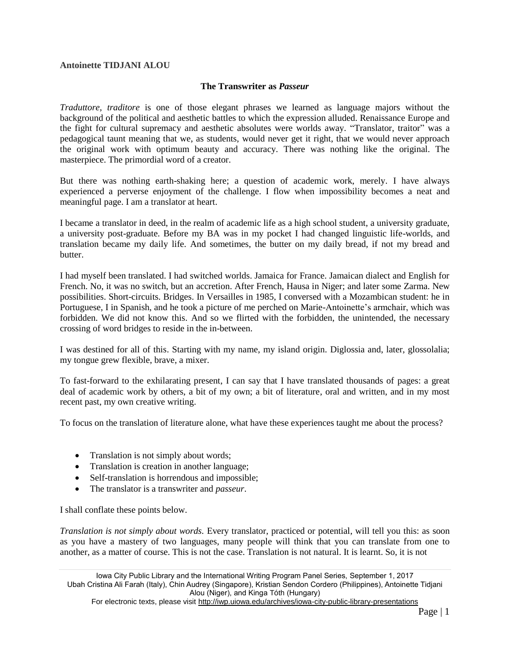## **Antoinette TIDJANI ALOU**

## **The Transwriter as** *Passeur*

*Traduttore, traditore* is one of those elegant phrases we learned as language majors without the background of the political and aesthetic battles to which the expression alluded. Renaissance Europe and the fight for cultural supremacy and aesthetic absolutes were worlds away. "Translator, traitor" was a pedagogical taunt meaning that we, as students, would never get it right, that we would never approach the original work with optimum beauty and accuracy. There was nothing like the original. The masterpiece. The primordial word of a creator.

But there was nothing earth-shaking here; a question of academic work, merely. I have always experienced a perverse enjoyment of the challenge. I flow when impossibility becomes a neat and meaningful page. I am a translator at heart.

I became a translator in deed, in the realm of academic life as a high school student, a university graduate, a university post-graduate. Before my BA was in my pocket I had changed linguistic life-worlds, and translation became my daily life. And sometimes, the butter on my daily bread, if not my bread and butter.

I had myself been translated. I had switched worlds. Jamaica for France. Jamaican dialect and English for French. No, it was no switch, but an accretion. After French, Hausa in Niger; and later some Zarma. New possibilities. Short-circuits. Bridges. In Versailles in 1985, I conversed with a Mozambican student: he in Portuguese, I in Spanish, and he took a picture of me perched on Marie-Antoinette's armchair, which was forbidden. We did not know this. And so we flirted with the forbidden, the unintended, the necessary crossing of word bridges to reside in the in-between.

I was destined for all of this. Starting with my name, my island origin. Diglossia and, later, glossolalia; my tongue grew flexible, brave, a mixer.

To fast-forward to the exhilarating present, I can say that I have translated thousands of pages: a great deal of academic work by others, a bit of my own; a bit of literature, oral and written, and in my most recent past, my own creative writing.

To focus on the translation of literature alone, what have these experiences taught me about the process?

- Translation is not simply about words;
- Translation is creation in another language;
- Self-translation is horrendous and impossible;
- The translator is a transwriter and *passeur*.

I shall conflate these points below.

*Translation is not simply about words.* Every translator, practiced or potential, will tell you this: as soon as you have a mastery of two languages, many people will think that you can translate from one to another, as a matter of course. This is not the case. Translation is not natural. It is learnt. So, it is not